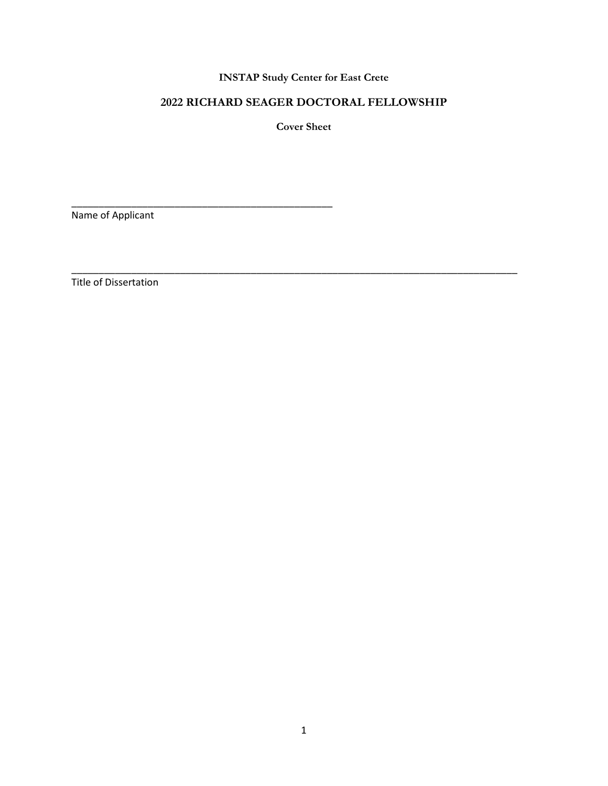## **INSTAP Study Center for East Crete**

# **2022 RICHARD SEAGER DOCTORAL FELLOWSHIP**

**Cover Sheet**

\_\_\_\_\_\_\_\_\_\_\_\_\_\_\_\_\_\_\_\_\_\_\_\_\_\_\_\_\_\_\_\_\_\_\_\_\_\_\_\_\_\_\_\_\_\_\_\_\_\_\_\_\_\_\_\_\_\_\_\_\_\_\_\_\_\_\_\_\_\_\_\_\_\_\_\_\_\_\_\_\_\_

Name of Applicant

\_\_\_\_\_\_\_\_\_\_\_\_\_\_\_\_\_\_\_\_\_\_\_\_\_\_\_\_\_\_\_\_\_\_\_\_\_\_\_\_\_\_\_\_\_\_\_\_

Title of Dissertation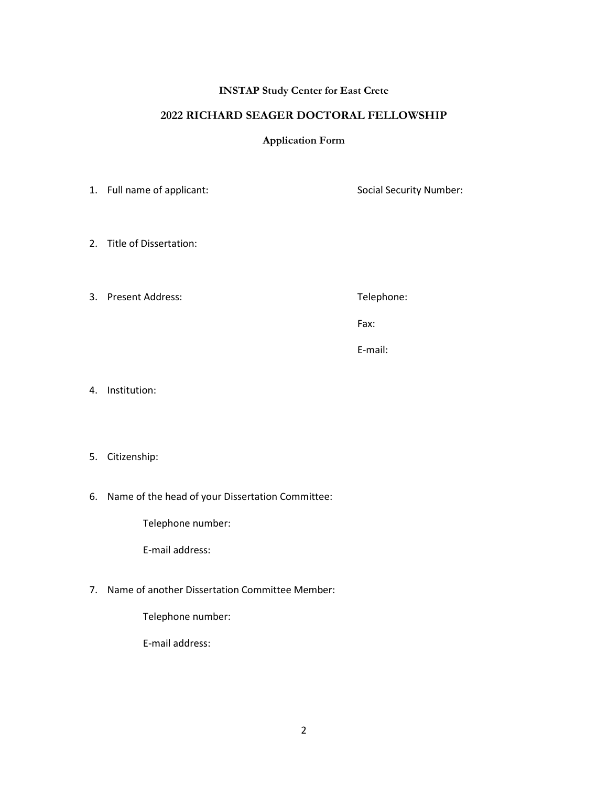#### **INSTAP Study Center for East Crete**

### **2022 RICHARD SEAGER DOCTORAL FELLOWSHIP**

#### **Application Form**

1. Full name of applicant: Social Security Number:

- 2. Title of Dissertation:
- 3. Present Address: Telephone: Telephone:

Fax:

E-mail:

- 4. Institution:
- 5. Citizenship:
- 6. Name of the head of your Dissertation Committee:

Telephone number:

E-mail address:

7. Name of another Dissertation Committee Member:

Telephone number:

E-mail address: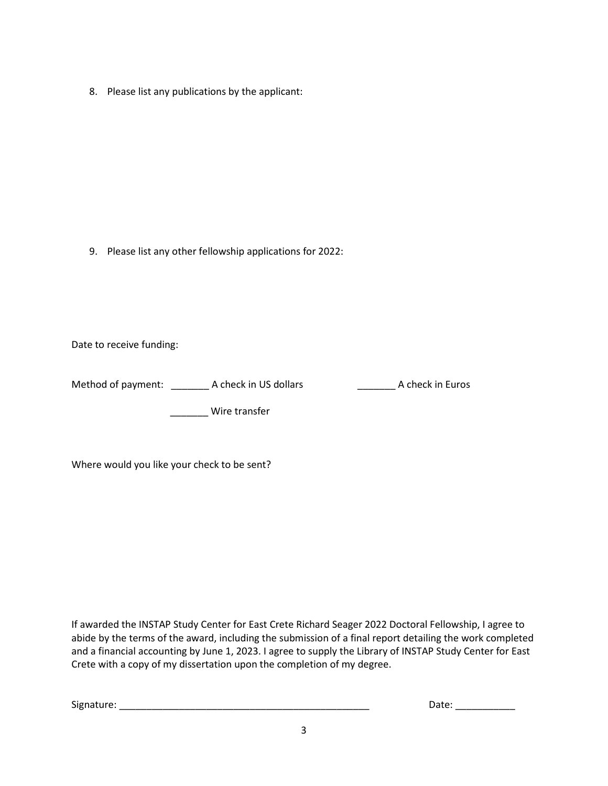8. Please list any publications by the applicant:

9. Please list any other fellowship applications for 2022:

Date to receive funding:

Method of payment: \_\_\_\_\_\_\_\_\_\_ A check in US dollars \_\_\_\_\_\_\_\_\_\_\_\_\_\_\_\_\_\_\_ A check in Euros

\_\_\_\_\_\_\_ Wire transfer

Where would you like your check to be sent?

If awarded the INSTAP Study Center for East Crete Richard Seager 2022 Doctoral Fellowship, I agree to abide by the terms of the award, including the submission of a final report detailing the work completed and a financial accounting by June 1, 2023. I agree to supply the Library of INSTAP Study Center for East Crete with a copy of my dissertation upon the completion of my degree.

Signature: \_\_\_\_\_\_\_\_\_\_\_\_\_\_\_\_\_\_\_\_\_\_\_\_\_\_\_\_\_\_\_\_\_\_\_\_\_\_\_\_\_\_\_\_\_\_ Date: \_\_\_\_\_\_\_\_\_\_\_